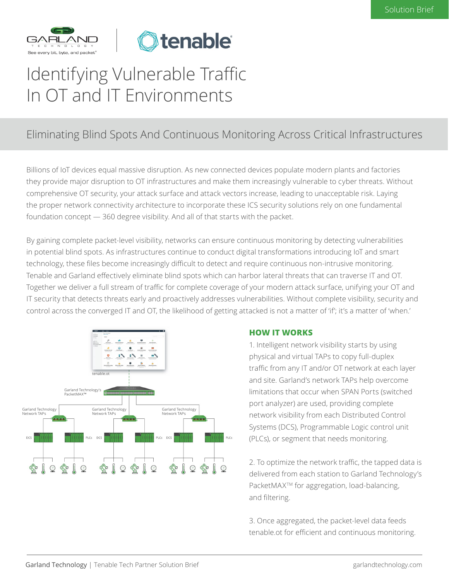



# Identifying Vulnerable Traffic In OT and IT Environments

#### Eliminating Blind Spots And Continuous Monitoring Across Critical Infrastructures

Billions of IoT devices equal massive disruption. As new connected devices populate modern plants and factories they provide major disruption to OT infrastructures and make them increasingly vulnerable to cyber threats. Without comprehensive OT security, your attack surface and attack vectors increase, leading to unacceptable risk. Laying the proper network connectivity architecture to incorporate these ICS security solutions rely on one fundamental foundation concept — 360 degree visibility. And all of that starts with the packet.

By gaining complete packet-level visibility, networks can ensure continuous monitoring by detecting vulnerabilities in potential blind spots. As infrastructures continue to conduct digital transformations introducing IoT and smart technology, these files become increasingly difficult to detect and require continuous non-intrusive monitoring. Tenable and Garland effectively eliminate blind spots which can harbor lateral threats that can traverse IT and OT. Together we deliver a full stream of traffic for complete coverage of your modern attack surface, unifying your OT and IT security that detects threats early and proactively addresses vulnerabilities. Without complete visibility, security and control across the converged IT and OT, the likelihood of getting attacked is not a matter of 'if'; it's a matter of 'when.'



#### **HOW IT WORKS**

1. Intelligent network visibility starts by using physical and virtual TAPs to copy full-duplex traffic from any IT and/or OT network at each layer and site. Garland's network TAPs help overcome limitations that occur when SPAN Ports (switched port analyzer) are used, providing complete network visibility from each Distributed Control Systems (DCS), Programmable Logic control unit (PLCs), or segment that needs monitoring.

2. To optimize the network traffic, the tapped data is delivered from each station to Garland Technology's PacketMAX<sup>™</sup> for aggregation, load-balancing, and filtering.

3. Once aggregated, the packet-level data feeds tenable.ot for efficient and continuous monitoring.